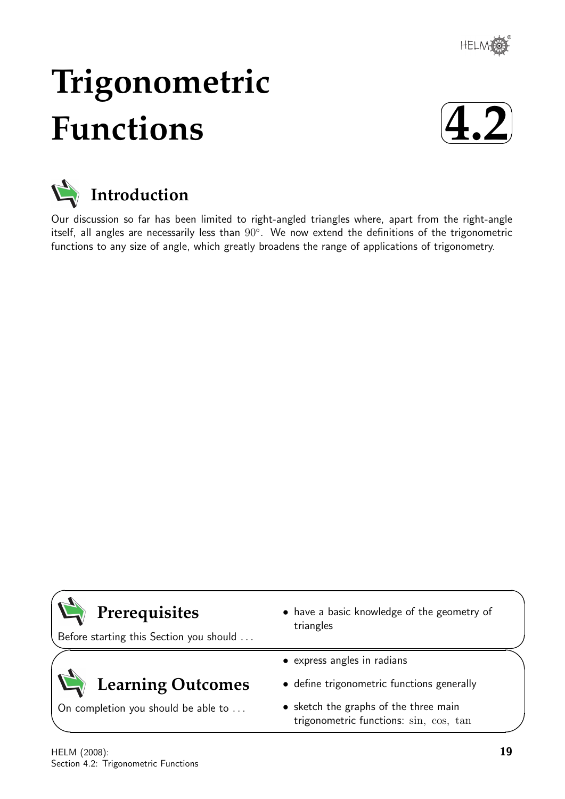

# **Trigonometric Functions**





Our discussion so far has been limited to right-angled triangles where, apart from the right-angle itself, all angles are necessarily less than 90°. We now extend the definitions of the trigonometric functions to any size of angle, which greatly broadens the range of applications of trigonometry.

| Prerequisites<br>Before starting this Section you should | • have a basic knowledge of the geometry of<br>triangles                        |
|----------------------------------------------------------|---------------------------------------------------------------------------------|
|                                                          | • express angles in radians                                                     |
| <b>Learning Outcomes</b>                                 | • define trigonometric functions generally                                      |
| On completion you should be able to                      | • sketch the graphs of the three main<br>trigonometric functions: sin, cos, tan |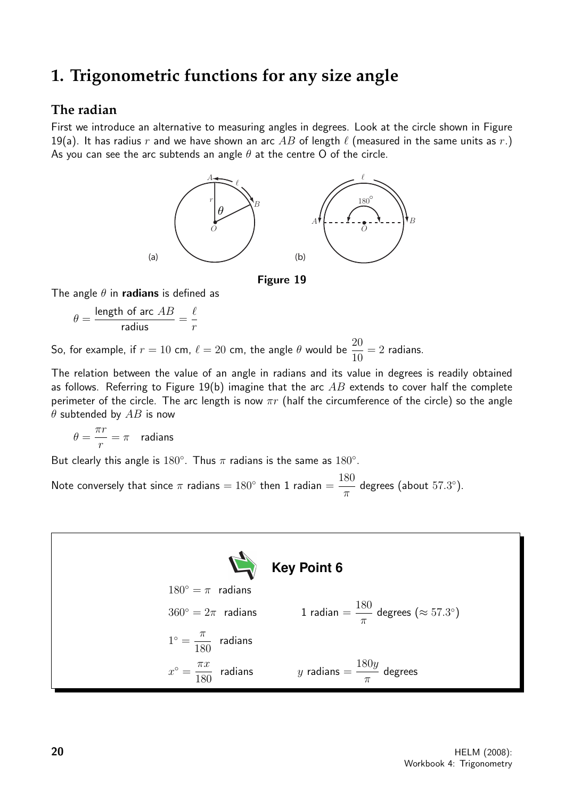## **1. Trigonometric functions for any size angle**

## **The radian**

First we introduce an alternative to measuring angles in degrees. Look at the circle shown in Figure 19(a). It has radius r and we have shown an arc AB of length  $\ell$  (measured in the same units as r.) As you can see the arc subtends an angle  $\theta$  at the centre O of the circle.





The angle  $\theta$  in radians is defined as

 $\theta =$ length of arc  $AB$  $\frac{10! \text{ g} \cdot 21}{10} =$  $\ell$ r

So, for example, if  $r = 10$  cm,  $\ell = 20$  cm, the angle  $\theta$  would be  $\frac{20}{10}$ 10  $= 2$  radians.

The relation between the value of an angle in radians and its value in degrees is readily obtained as follows. Referring to Figure 19(b) imagine that the arc  $AB$  extends to cover half the complete perimeter of the circle. The arc length is now  $\pi r$  (half the circumference of the circle) so the angle  $\theta$  subtended by  $AB$  is now

$$
\theta = \frac{\pi r}{r} = \pi \quad \text{radians}
$$

But clearly this angle is 180°. Thus  $\pi$  radians is the same as 180°.

Note conversely that since  $\pi$  radians =  $180^{\circ}$  then 1 radian = 180  $\pi$ degrees (about 57.3°).

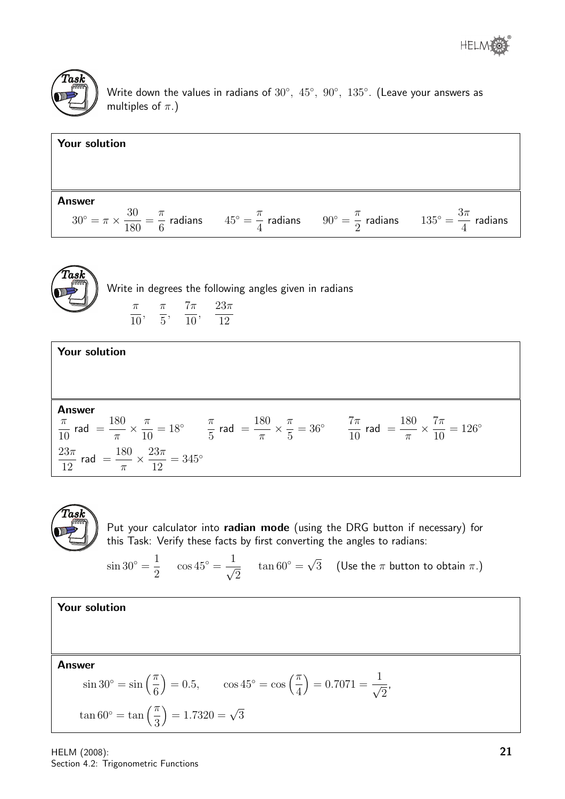



Write down the values in radians of  $30^{\circ},~45^{\circ},~90^{\circ},~135^{\circ}.$  (Leave your answers as multiples of  $\pi$ .)

**Your solution**  
Answer  

$$
30^\circ = \pi \times \frac{30}{180} = \frac{\pi}{6}
$$
 radians  $45^\circ = \frac{\pi}{4}$  radians  $90^\circ = \frac{\pi}{2}$  radians  $135^\circ = \frac{3\pi}{4}$  radians



Write in degrees the following angles given in radians π 10 ,  $\pi$ 5 ,  $7\pi$ 10 ,  $23\pi$ 12





Put your calculator into radian mode (using the DRG button if necessary) for this Task: Verify these facts by first converting the angles to radians:

 $\sin 30^\circ = \frac{1}{2}$ 2  $\cos 45^\circ = \frac{1}{4}$ 2  $\tan 60^\circ =$ √ 3 (Use the  $\pi$  button to obtain  $\pi$ .)

,

Your solution

Answer

$$
\sin 30^\circ = \sin \left(\frac{\pi}{6}\right) = 0.5, \qquad \cos 45^\circ = \cos \left(\frac{\pi}{4}\right) = 0.7071 = \frac{1}{\sqrt{2}}
$$

$$
\tan 60^\circ = \tan \left(\frac{\pi}{3}\right) = 1.7320 = \sqrt{3}
$$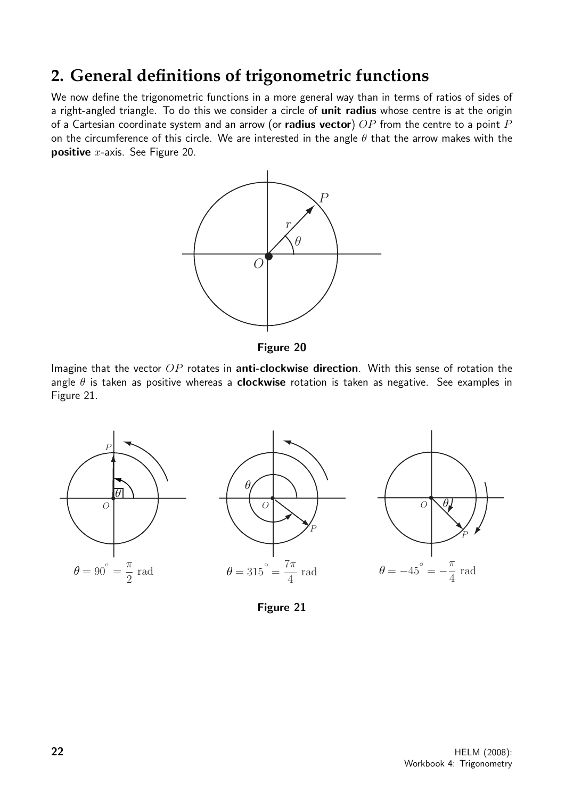# **2. General definitions of trigonometric functions**

We now define the trigonometric functions in a more general way than in terms of ratios of sides of a right-angled triangle. To do this we consider a circle of unit radius whose centre is at the origin of a Cartesian coordinate system and an arrow (or **radius vector**)  $OP$  from the centre to a point P on the circumference of this circle. We are interested in the angle  $\theta$  that the arrow makes with the **positive**  $x$ -axis. See Figure 20.



Figure 20

Imagine that the vector  $OP$  rotates in **anti-clockwise direction**. With this sense of rotation the angle  $\theta$  is taken as positive whereas a **clockwise** rotation is taken as negative. See examples in Figure 21.



Figure 21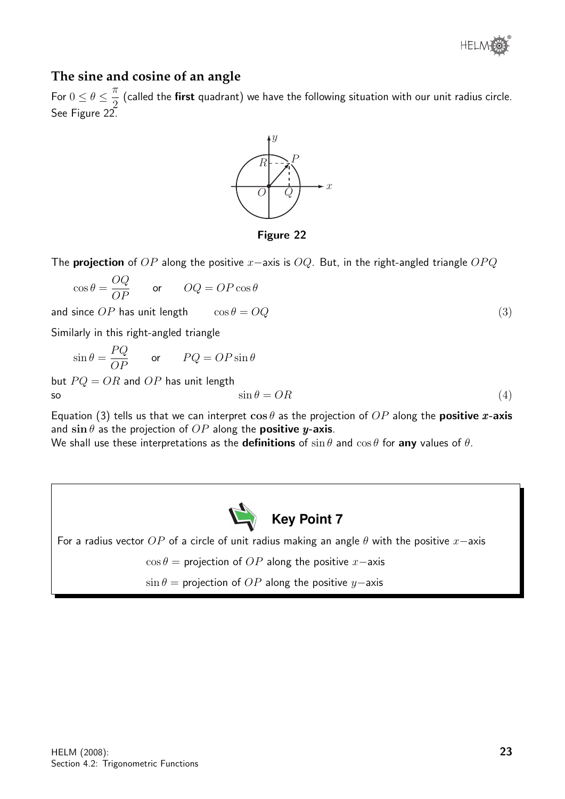

## **The sine and cosine of an angle**

For  $0 \leq \theta \leq \frac{\pi}{2}$ 2 (called the first quadrant) we have the following situation with our unit radius circle. See Figure 22.



Figure 22

The **projection** of OP along the positive x–axis is OQ. But, in the right-angled triangle OPQ

$$
\cos \theta = \frac{OQ}{OP} \qquad \text{or} \qquad OQ = OP \cos \theta
$$

and since  $OP$  has unit length  $\cos \theta = OQ$  (3)

Similarly in this right-angled triangle

$$
\sin \theta = \frac{PQ}{OP} \qquad \text{or} \qquad PQ = OP \sin \theta
$$

but  $PQ = OR$  and  $OP$  has unit length so  $\sin \theta = OR$  (4)

Equation (3) tells us that we can interpret  $\cos \theta$  as the projection of  $OP$  along the **positive x-axis** and  $\sin \theta$  as the projection of  $OP$  along the **positive y-axis**.

We shall use these interpretations as the **definitions** of  $\sin \theta$  and  $\cos \theta$  for any values of  $\theta$ .



For a radius vector OP of a circle of unit radius making an angle  $\theta$  with the positive  $x$ −axis

 $\cos \theta =$  projection of OP along the positive x-axis

 $\sin \theta =$  projection of OP along the positive y−axis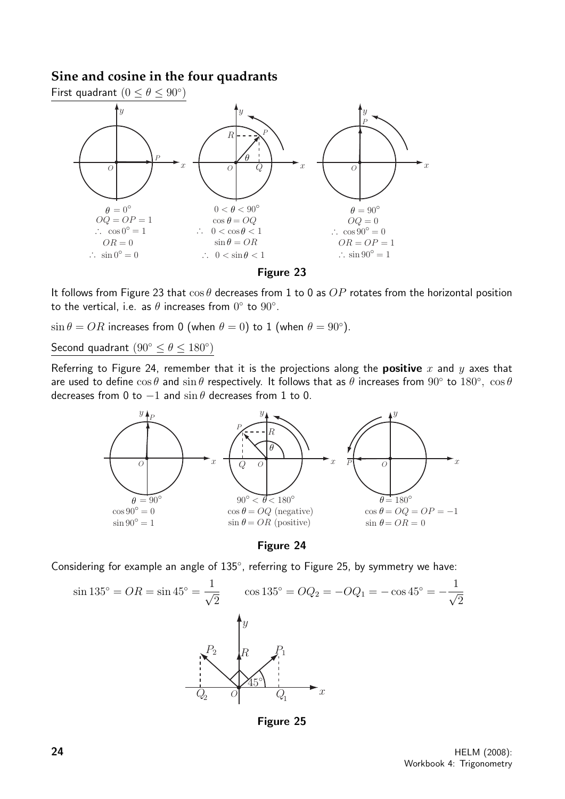## **Sine and cosine in the four quadrants**



It follows from Figure 23 that  $\cos\theta$  decreases from 1 to 0 as  $OP$  rotates from the horizontal position to the vertical, i.e. as  $\theta$  increases from  $0^{\circ}$  to  $90^{\circ}$ .

 $\sin \theta = OR$  increases from 0 (when  $\theta = 0$ ) to 1 (when  $\theta = 90^{\circ}$ ).

Second quadrant  $(90^{\circ} \le \theta \le 180^{\circ})$ 

Referring to Figure 24, remember that it is the projections along the **positive** x and y axes that are used to define  $\cos\theta$  and  $\sin\theta$  respectively. It follows that as  $\theta$  increases from  $90^\circ$  to  $180^\circ$ ,  $\cos\theta$ decreases from 0 to  $-1$  and  $\sin \theta$  decreases from 1 to 0.





Considering for example an angle of 135°, referring to Figure 25, by symmetry we have:



Figure 25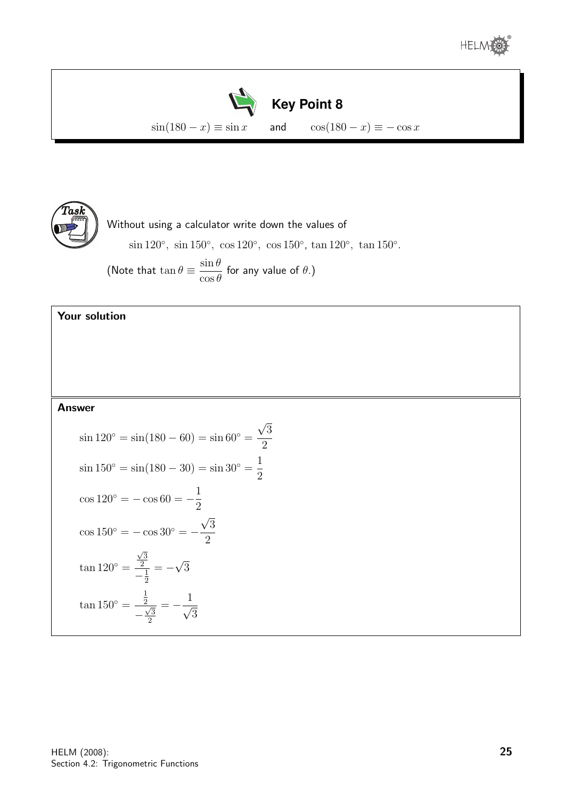





Without using a calculator write down the values of sin 120<sup>°</sup>, sin 150<sup>°</sup>, cos 120<sup>°</sup>, cos 150<sup>°</sup>, tan 120<sup>°</sup>, tan 150<sup>°</sup>.

(Note that  $\tan \theta \equiv \frac{\sin \theta}{\sigma}$  $\cos\theta$ for any value of  $\theta$ .)

## Your solution

#### Answer

$$
\sin 120^\circ = \sin(180 - 60) = \sin 60^\circ = \frac{\sqrt{3}}{2}
$$
  
\n
$$
\sin 150^\circ = \sin(180 - 30) = \sin 30^\circ = \frac{1}{2}
$$
  
\n
$$
\cos 120^\circ = -\cos 60 = -\frac{1}{2}
$$
  
\n
$$
\cos 150^\circ = -\cos 30^\circ = -\frac{\sqrt{3}}{2}
$$
  
\n
$$
\tan 120^\circ = \frac{\frac{\sqrt{3}}{2}}{-\frac{1}{2}} = -\sqrt{3}
$$
  
\n
$$
\tan 150^\circ = \frac{\frac{1}{2}}{-\frac{\sqrt{3}}{2}} = -\frac{1}{\sqrt{3}}
$$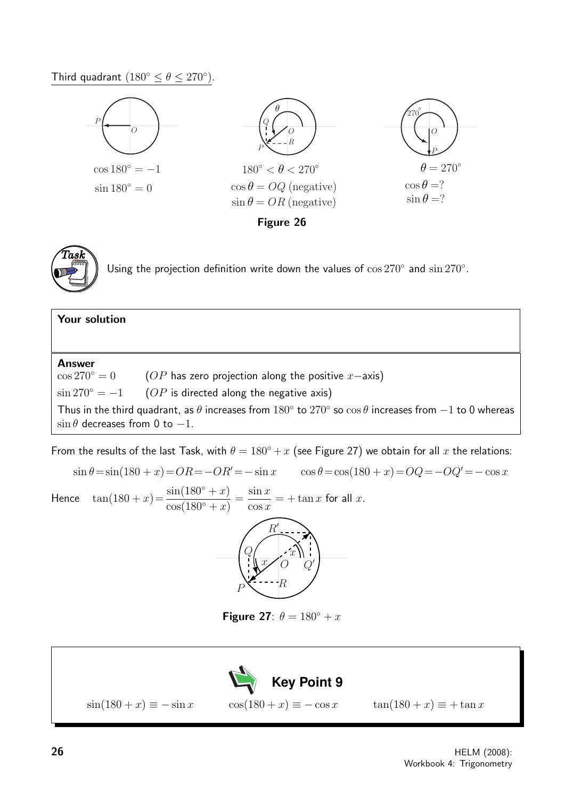Third quadrant  $(180^{\circ} \leq \theta \leq 270^{\circ}).$ 





Using the projection definition write down the values of  $\cos 270^\circ$  and  $\sin 270^\circ$ .

# Your solution Answer  $\cos 270° = 0$  (OP has zero projection along the positive x–axis)  $\sin 270^\circ = -1$  (*OP* is directed along the negative axis) Thus in the third quadrant, as  $\theta$  increases from  $180^\circ$  to  $270^\circ$  so  $\cos\theta$  increases from  $-1$  to 0 whereas  $\sin \theta$  decreases from 0 to -1.

From the results of the last Task, with  $\theta = 180^\circ + x$  (see Figure 27) we obtain for all x the relations:

 $\sin \theta = \sin(180 + x) = OR = -OR' = -\sin x$   $\cos \theta = \cos(180 + x) = OQ = -OQ' = -\cos x$ Hence  $\tan(180 + x) = \frac{\sin(180^\circ + x)}{(180^\circ + x)}$  $\frac{\sin(180^\circ + x)}{\cos(180^\circ + x)} =$  $\sin x$  $\cos x$  $= + \tan x$  for all x.  $\mathbb{P}$   $\leftarrow$   $\mathbb{R}$  $\,Q$  $\overline{O}$  $R_{\rm}^{\prime}$  $Q'$  $\frac{x}{2}$  $\overline{x}$ 

Figure 27:  $\theta = 180^\circ + x$ 

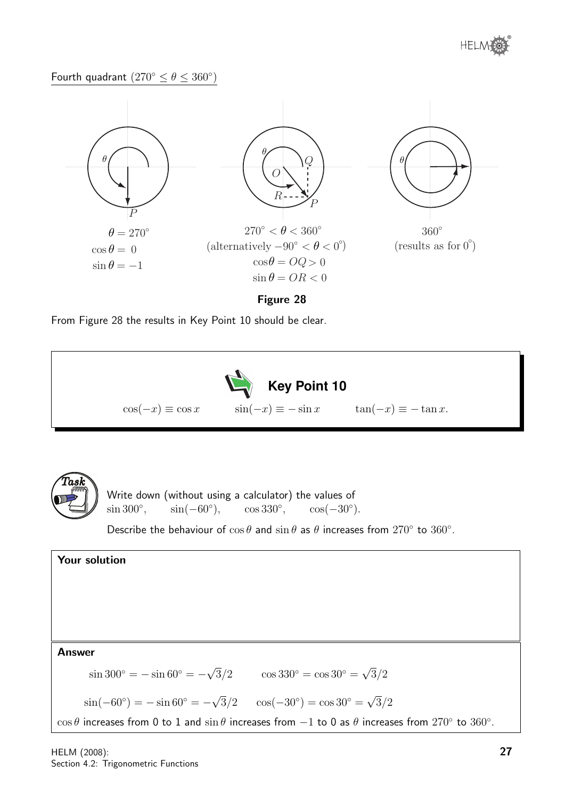

## Fourth quadrant  $(270^{\circ} \leq \theta \leq 360^{\circ})$



#### Figure 28

From Figure 28 the results in Key Point 10 should be clear.





Write down (without using a calculator) the values of  $\sin 300^\circ$ ,  $\sin(-60^\circ)$ ,  $\cos 330^\circ$ ,  $\cos(-30^\circ)$ .

Describe the behaviour of  $\cos \theta$  and  $\sin \theta$  as  $\theta$  increases from  $270^{\circ}$  to  $360^{\circ}$ .

## Your solution Answer  $\sin 300^{\circ} = -\sin 60^{\circ} = -$ √  $\sqrt{3}/2 \qquad \cos 330^{\circ} = \cos 30^{\circ} =$ √  $3/2$ √ √

 $\sin(-60^{\circ}) = -\sin 60^{\circ} = \sqrt{3}/2 \quad \cos(-30^{\circ}) = \cos 30^{\circ} =$  $3/2$ 

 $\cos\theta$  increases from 0 to 1 and  $\sin\theta$  increases from  $-1$  to 0 as  $\theta$  increases from  $270^{\circ}$  to  $360^{\circ}$ .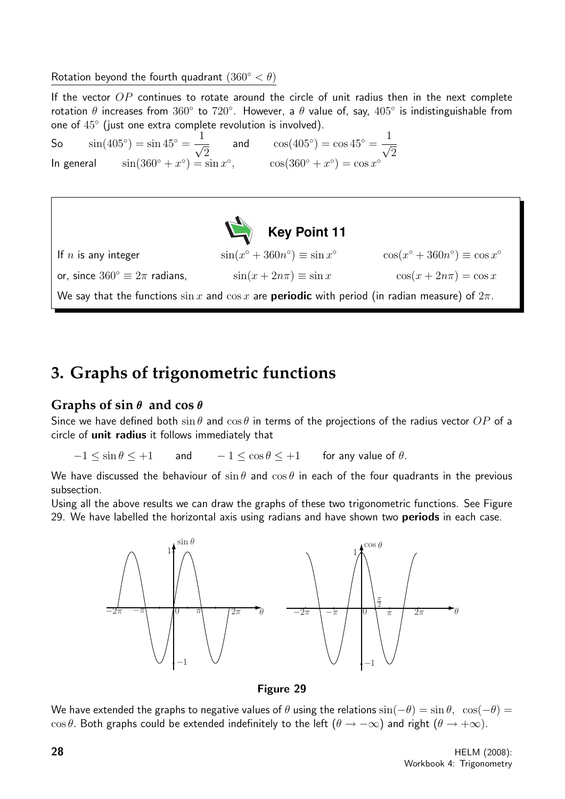Rotation beyond the fourth quadrant  $(360° < \theta)$ 

If the vector  $OP$  continues to rotate around the circle of unit radius then in the next complete rotation  $\theta$  increases from  $360^\circ$  to  $720^\circ$ . However, a  $\theta$  value of, say,  $405^\circ$  is indistinguishable from one of 45◦ (just one extra complete revolution is involved).

So  $\sin(405^\circ) = \sin 45^\circ = \frac{1}{4}$ 2 and  $\cos(405^\circ) = \cos 45^\circ = \frac{1}{4}$  $\overline{2}$ In general  $\sin(360^\circ + x^\circ) = \sin x^\circ$ ,  $\cos(360^\circ + x^\circ) = \cos x^\circ$ 



## **3. Graphs of trigonometric functions**

## **Graphs of sin** θ **and cos** θ

Since we have defined both  $\sin \theta$  and  $\cos \theta$  in terms of the projections of the radius vector OP of a circle of unit radius it follows immediately that

 $-1 \le \sin \theta \le +1$  and  $-1 \le \cos \theta \le +1$  for any value of  $\theta$ .

We have discussed the behaviour of  $\sin \theta$  and  $\cos \theta$  in each of the four quadrants in the previous subsection.

Using all the above results we can draw the graphs of these two trigonometric functions. See Figure 29. We have labelled the horizontal axis using radians and have shown two periods in each case.



Figure 29

We have extended the graphs to negative values of  $\theta$  using the relations  $\sin(-\theta) = \sin \theta$ ,  $\cos(-\theta) =$  $\cos \theta$ . Both graphs could be extended indefinitely to the left  $(\theta \to -\infty)$  and right  $(\theta \to +\infty)$ .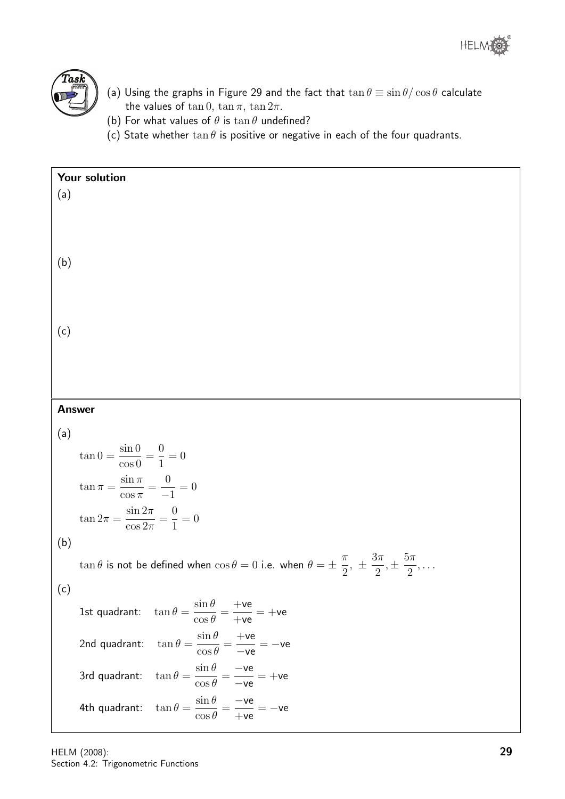



- (a) Using the graphs in Figure 29 and the fact that  $\tan \theta \equiv \sin \theta / \cos \theta$  calculate the values of  $\tan 0$ ,  $\tan \pi$ ,  $\tan 2\pi$ .
- (b) For what values of  $\theta$  is  $\tan \theta$  undefined?
- (c) State whether  $\tan \theta$  is positive or negative in each of the four quadrants.

| Your solution |                                                                                                                                               |  |
|---------------|-----------------------------------------------------------------------------------------------------------------------------------------------|--|
| (a)           |                                                                                                                                               |  |
|               |                                                                                                                                               |  |
|               |                                                                                                                                               |  |
| (b)           |                                                                                                                                               |  |
|               |                                                                                                                                               |  |
|               |                                                                                                                                               |  |
|               |                                                                                                                                               |  |
| (c)           |                                                                                                                                               |  |
|               |                                                                                                                                               |  |
|               |                                                                                                                                               |  |
|               |                                                                                                                                               |  |
| <b>Answer</b> |                                                                                                                                               |  |
| (a)           |                                                                                                                                               |  |
|               | $\tan 0 = \frac{\sin 0}{\cos 0} = \frac{0}{1} = 0$                                                                                            |  |
|               | $\tan \pi = \frac{\sin \pi}{\cos \pi} = \frac{0}{-1} = 0$                                                                                     |  |
|               | $\tan 2\pi = \frac{\sin 2\pi}{\cos 2\pi} = \frac{0}{1} = 0$                                                                                   |  |
| (b)           |                                                                                                                                               |  |
|               | $\tan \theta$ is not be defined when $\cos \theta = 0$ i.e. when $\theta = \pm \frac{\pi}{2}, \pm \frac{3\pi}{2}, \pm \frac{5\pi}{2}, \ldots$ |  |
| (c)           |                                                                                                                                               |  |
|               | 1st quadrant: $\tan \theta = \frac{\sin \theta}{\cos \theta} = \frac{+ve}{+ve} = +ve$                                                         |  |
|               | $\tan\theta = \frac{\sin\theta}{\cos\theta} = \frac{+ve}{-ve} = -ve$<br>2nd quadrant:                                                         |  |
|               | $\tan \theta = \frac{\sin \theta}{\cos \theta} = \frac{-\text{ve}}{-\text{ve}} = +\text{ve}$<br>3rd quadrant:                                 |  |
|               | $\tan \theta = \frac{\sin \theta}{\cos \theta} = \frac{-\text{ve}}{+\text{ve}} = -\text{ve}$<br>4th quadrant:                                 |  |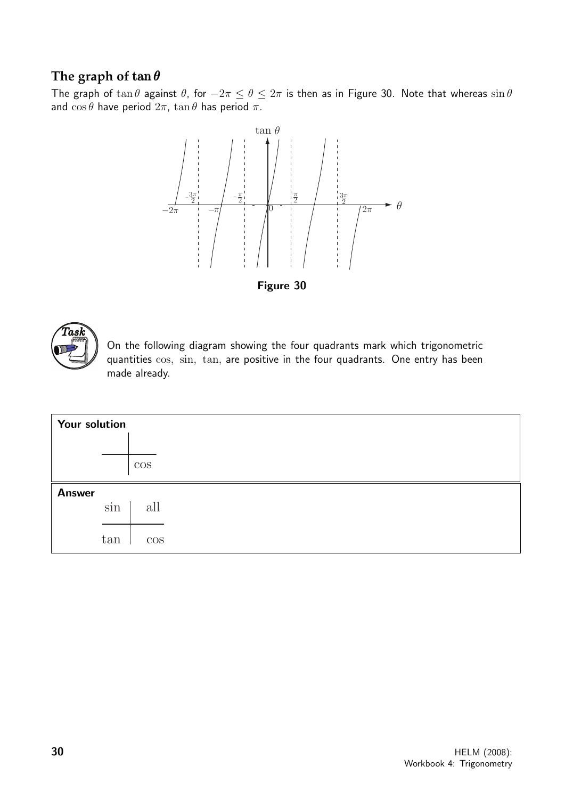## **The graph of** tan θ

The graph of  $\tan \theta$  against  $\theta$ , for  $-2\pi \le \theta \le 2\pi$  is then as in Figure 30. Note that whereas  $\sin \theta$ and  $\cos \theta$  have period  $2\pi$ ,  $\tan \theta$  has period  $\pi$ .



Figure 30



On the following diagram showing the four quadrants mark which trigonometric quantities cos, sin, tan, are positive in the four quadrants. One entry has been made already.

| Your solution |        |  |
|---------------|--------|--|
|               |        |  |
|               | $\cos$ |  |
| <b>Answer</b> |        |  |
| sin           | all    |  |
|               |        |  |
| tan           | $\cos$ |  |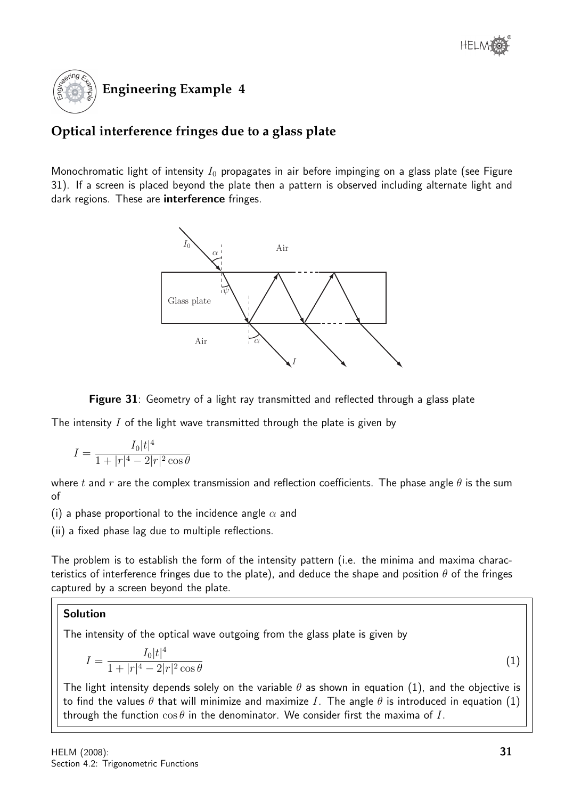

## **Optical interference fringes due to a glass plate**

Monochromatic light of intensity  $I_0$  propagates in air before impinging on a glass plate (see Figure 31). If a screen is placed beyond the plate then a pattern is observed including alternate light and dark regions. These are **interference** fringes.



Figure 31: Geometry of a light ray transmitted and reflected through a glass plate

The intensity  $I$  of the light wave transmitted through the plate is given by

$$
I = \frac{I_0|t|^4}{1+|r|^4 - 2|r|^2 \cos \theta}
$$

where t and r are the complex transmission and reflection coefficients. The phase angle  $\theta$  is the sum of

(i) a phase proportional to the incidence angle  $\alpha$  and

(ii) a fixed phase lag due to multiple reflections.

The problem is to establish the form of the intensity pattern (i.e. the minima and maxima characteristics of interference fringes due to the plate), and deduce the shape and position  $\theta$  of the fringes captured by a screen beyond the plate.

## Solution

The intensity of the optical wave outgoing from the glass plate is given by

$$
I = \frac{I_0|t|^4}{1+|r|^4 - 2|r|^2 \cos \theta} \tag{1}
$$

The light intensity depends solely on the variable  $\theta$  as shown in equation (1), and the objective is to find the values  $\theta$  that will minimize and maximize I. The angle  $\theta$  is introduced in equation (1) through the function  $\cos \theta$  in the denominator. We consider first the maxima of I.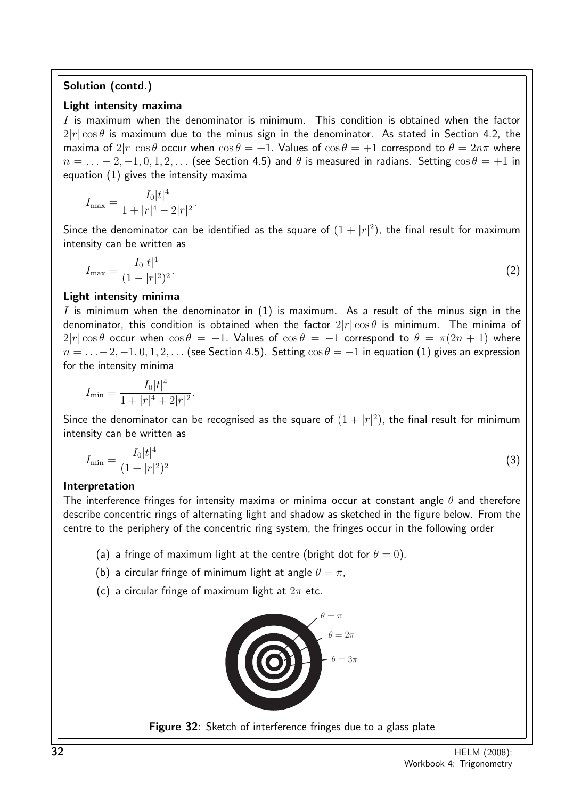## Solution (contd.)

## Light intensity maxima

I is maximum when the denominator is minimum. This condition is obtained when the factor  $2|r|\cos\theta$  is maximum due to the minus sign in the denominator. As stated in Section 4.2, the maxima of  $2|r|\cos\theta$  occur when  $\cos\theta = +1$ . Values of  $\cos\theta = +1$  correspond to  $\theta = 2n\pi$  where  $n = \ldots - 2, -1, 0, 1, 2, \ldots$  (see Section 4.5) and  $\theta$  is measured in radians. Setting  $\cos \theta = +1$  in equation (1) gives the intensity maxima

$$
I_{\max} = \frac{I_0|t|^4}{1+|r|^4 - 2|r|^2}.
$$

Since the denominator can be identified as the square of  $(1+|r|^2)$ , the final result for maximum intensity can be written as

$$
I_{\max} = \frac{I_0|t|^4}{(1-|r|^2)^2}.\tag{2}
$$

## Light intensity minima

I is minimum when the denominator in  $(1)$  is maximum. As a result of the minus sign in the denominator, this condition is obtained when the factor  $2|r|\cos\theta$  is minimum. The minima of  $2|r|\cos\theta$  occur when  $\cos\theta = -1$ . Values of  $\cos\theta = -1$  correspond to  $\theta = \pi(2n + 1)$  where  $n = \ldots -2, -1, 0, 1, 2, \ldots$  (see Section 4.5). Setting  $\cos \theta = -1$  in equation (1) gives an expression for the intensity minima

$$
I_{\min} = \frac{I_0|t|^4}{1+|r|^4+2|r|^2}.
$$

Since the denominator can be recognised as the square of  $(1+|r|^2)$ , the final result for minimum intensity can be written as

$$
I_{\min} = \frac{I_0 |t|^4}{(1+|r|^2)^2} \tag{3}
$$

## Interpretation

The interference fringes for intensity maxima or minima occur at constant angle  $\theta$  and therefore describe concentric rings of alternating light and shadow as sketched in the figure below. From the centre to the periphery of the concentric ring system, the fringes occur in the following order

- (a) a fringe of maximum light at the centre (bright dot for  $\theta = 0$ ),
- (b) a circular fringe of minimum light at angle  $\theta = \pi$ ,
- (c) a circular fringe of maximum light at  $2\pi$  etc.



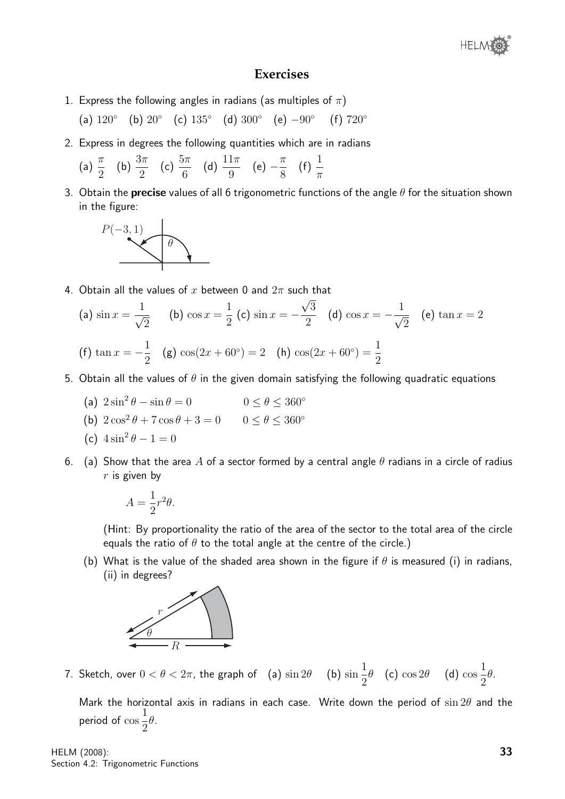

## **Exercises**

1. Express the following angles in radians (as multiples of  $\pi$ )

(a)  $120°$  (b)  $20°$  (c)  $135°$  (d)  $300°$  (e)  $-90°$ (f)  $720^\circ$ 

2. Express in degrees the following quantities which are in radians

(a) 
$$
\frac{\pi}{2}
$$
 (b)  $\frac{3\pi}{2}$  (c)  $\frac{5\pi}{6}$  (d)  $\frac{11\pi}{9}$  (e)  $-\frac{\pi}{8}$  (f)  $\frac{1}{\pi}$ 

3. Obtain the **precise** values of all 6 trigonometric functions of the angle  $\theta$  for the situation shown in the figure:



4. Obtain all the values of  $x$  between 0 and  $2\pi$  such that

(a) 
$$
\sin x = \frac{1}{\sqrt{2}}
$$
 (b)  $\cos x = \frac{1}{2}$  (c)  $\sin x = -\frac{\sqrt{3}}{2}$  (d)  $\cos x = -\frac{1}{\sqrt{2}}$  (e)  $\tan x = 2$   
(f)  $\tan x = -\frac{1}{2}$  (g)  $\cos(2x + 60^\circ) = 2$  (h)  $\cos(2x + 60^\circ) = \frac{1}{2}$ 

- 5. Obtain all the values of  $\theta$  in the given domain satisfying the following quadratic equations
	- (a)  $2\sin^2\theta \sin\theta = 0$  $0 \leq \theta \leq 360^{\circ}$
	- (b)  $2\cos^2\theta + 7\cos\theta + 3 = 0$   $0 \le \theta \le 360^{\circ}$

(c) 
$$
4\sin^2\theta - 1 = 0
$$

6. (a) Show that the area A of a sector formed by a central angle  $\theta$  radians in a circle of radius  $r$  is given by

$$
A = \frac{1}{2}r^2\theta.
$$

(Hint: By proportionality the ratio of the area of the sector to the total area of the circle equals the ratio of  $\theta$  to the total angle at the centre of the circle.)

(b) What is the value of the shaded area shown in the figure if  $\theta$  is measured (i) in radians, (ii) in degrees?



7. Sketch, over  $0 < \theta < 2\pi$ , the graph of  $\quad$  (a)  $\sin 2\theta$   $\quad$  (b)  $\sin$ 1 2  $\theta$  (c)  $\cos 2\theta$  (d)  $\cos$ 1 2 θ.

Mark the horizontal axis in radians in each case. Write down the period of  $\sin 2\theta$  and the period of cos 1 2 θ.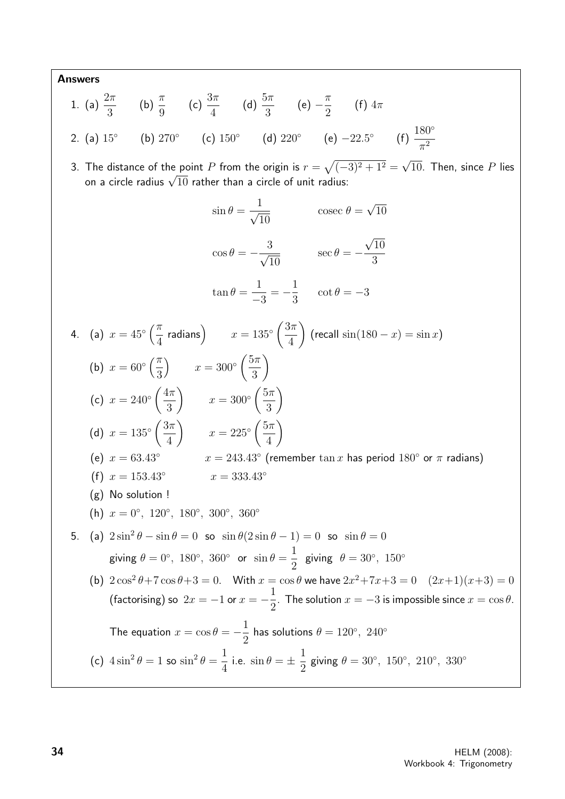Answers  
\n1. (a) 
$$
\frac{2\pi}{3}
$$
 (b)  $\frac{\pi}{9}$  (c)  $\frac{3\pi}{4}$  (d)  $\frac{5\pi}{3}$  (e)  $-\frac{\pi}{2}$  (f)  $4\pi$   
\n2. (a)  $15^{\circ}$  (b)  $270^{\circ}$  (c)  $150^{\circ}$  (d)  $220^{\circ}$  (e)  $-22.5^{\circ}$  (f)  $\frac{180^{\circ}}{\pi^2}$   
\n3. The distance of the point *P* from the origin is  $r = \sqrt{(-3)^2 + 1^2} = \sqrt{10}$ . Then, since *P* lies  
\non a circle radius  $\sqrt{10}$  rather than a circle of unit radius:  
\n $\sin \theta = \frac{1}{\sqrt{10}}$   $\csc \theta = \sqrt{10}$   
\n $\cos \theta = -\frac{3}{\sqrt{10}}$   $\sec \theta = -\frac{\sqrt{10}}{3}$   
\n $\tan \theta = \frac{1}{-3} = -\frac{1}{3}$   $\cot \theta = -3$   
\n4. (a)  $x = 45^{\circ} (\frac{\pi}{4} \text{ radians})$   $x = 135^{\circ} (\frac{3\pi}{4})$  (recall sin(180 - x) = sin x)  
\n(b)  $x = 60^{\circ} (\frac{\pi}{3})$   $x = 300^{\circ} (\frac{5\pi}{3})$   
\n(c)  $x = 240^{\circ} (\frac{4\pi}{3})$   $x = 205^{\circ} (\frac{5\pi}{4})$   
\n(d)  $x = 135^{\circ} (\frac{3\pi}{4})$   $x = 225^{\circ} (\frac{5\pi}{4})$   
\n(e)  $x = 63.43^{\circ}$   $x = 243.43^{\circ}$  (remember tan x has period 180° or  $\pi$  radians)  
\n(f)  $x = 153.43^{\circ}$   $x = 333.43^{\circ}$   
\n(g) No solution !  
\n(h)  $x = 0^{\circ}$ , 120°, 180°